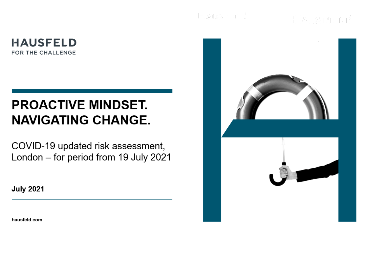# **HAUSFELD** FOR THE CHALLENGE

# **PROACTIVE MINDSET. NAVIGATING CHANGE.**

COVID-19 updated risk assessment, London - for period from 19 July 2021

**July 2021** 



hausfeld.com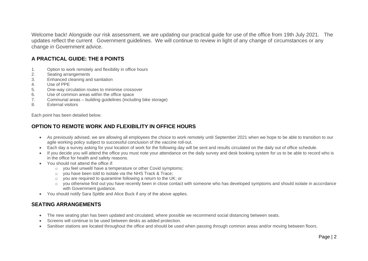Welcome back! Alongside our risk assessment, we are updating our practical guide for use of the office from 19th July 2021. The updates reflect the current Government guidelines. We will continue to review in light of any change of circumstances or any change in Government advice.

#### **A PRACTICAL GUIDE: THE 8 POINTS**

- 1. Option to work remotely and flexibility in office hours
- Seating arrangements
- 3. Enhanced cleaning and sanitation
- 4. Use of PPE
- 5. One-way circulation routes to minimise crossover
- 6. Use of common areas within the office space
- 7. Communal areas building guidelines (including bike storage)
- 8. External visitors

Each point has been detailed below.

#### **OPTION TO REMOTE WORK AND FLEXIBILITY IN OFFICE HOURS**

- As previously advised, we are allowing all employees the choice to work remotely until September 2021 when we hope to be able to transition to our agile working policy subject to successful conclusion of the vaccine roll-out.
- Each day a survey asking for your location of work for the following day will be sent and results circulated on the daily out of office schedule.
- If you decide you will attend the office you must note your attendance on the daily survey and desk booking system for us to be able to record who is in the office for health and safety reasons.
- You should not attend the office if:
	- o you feel unwell/ have a temperature or other Covid symptoms;
	- o you have been told to isolate via the NHS Track & Trace;
	- o you are required to quarantine following a return to the UK; or
	- o you otherwise find out you have recently been in close contact with someone who has developed symptoms and should isolate in accordance with Government quidance.
- You should notify Sara Spittle and Alice Buck if any of the above applies.

#### **SEATING ARRANGEMENTS**

- The new seating plan has been updated and circulated, where possible we recommend social distancing between seats.
- Screens will continue to be used between desks as added protection.
- Sanitiser stations are located throughout the office and should be used when passing through common areas and/or moving between floors.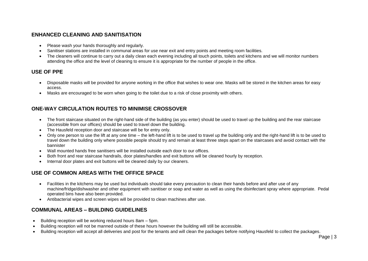#### **ENHANCED CLEANING AND SANITISATION**

- Please wash your hands thoroughly and regularly.
- Sanitiser stations are installed in communal areas for use near exit and entry points and meeting room facilities.
- The cleaners will continue to carry out a daily clean each evening including all touch points, toilets and kitchens and we will monitor numbers attending the office and the level of cleaning to ensure it is appropriate for the number of people in the office.

#### **USE OF PPE**

- Disposable masks will be provided for anyone working in the office that wishes to wear one. Masks will be stored in the kitchen areas for easy access.
- Masks are encouraged to be worn when going to the toilet due to a risk of close proximity with others.

#### **ONE-WAY CIRCULATION ROUTES TO MINIMISE CROSSOVER**

- The front staircase situated on the right-hand side of the building (as you enter) should be used to travel up the building and the rear staircase (accessible from our offices) should be used to travel down the building.
- The Hausfeld reception door and staircase will be for entry only.
- Only one person to use the lift at any one time the left-hand lift is to be used to travel up the building only and the right-hand lift is to be used to travel down the building only where possible people should try and remain at least three steps apart on the staircases and avoid contact with the bannister
- Wall mounted hands free sanitisers will be installed outside each door to our offices.
- Both front and rear staircase handrails, door plates/handles and exit buttons will be cleaned hourly by reception.
- Internal door plates and exit buttons will be cleaned daily by our cleaners.

#### **USE OF COMMON AREAS WITH THE OFFICE SPACE**

- Facilities in the kitchens may be used but individuals should take every precaution to clean their hands before and after use of any machine/fridge/dishwasher and other equipment with sanitiser or soap and water as well as using the disinfectant spray where appropriate. Pedal operated bins have also been provided.
- Antibacterial wipes and screen wipes will be provided to clean machines after use.

#### **COMMUNAL AREAS – BUILDING GUIDELINES**

- Building reception will be working reduced hours 8am 5pm.
- Building reception will not be manned outside of these hours however the building will still be accessible.
- Building reception will accept all deliveries and post for the tenants and will clean the packages before notifying Hausfeld to collect the packages.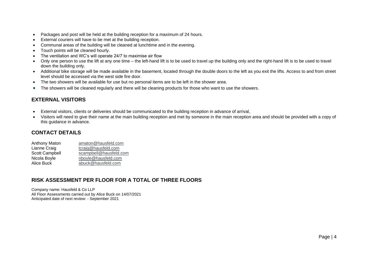- Packages and post will be held at the building reception for a maximum of 24 hours.
- External couriers will have to be met at the building reception.
- Communal areas of the building will be cleaned at lunchtime and in the evening.
- Touch points will be cleaned hourly.
- The ventilation and WC's will operate 24/7 to maximise air flow
- Only one person to use the lift at any one time the left-hand lift is to be used to travel up the building only and the right-hand lift is to be used to travel down the building only.
- Additional bike storage will be made available in the basement, located through the double doors to the left as you exit the lifts. Access to and from street level should be accessed via the west side fire door.
- The two showers will be available for use but no personal items are to be left in the shower area.
- The showers will be cleaned regularly and there will be cleaning products for those who want to use the showers.

#### **EXTERNAL VISITORS**

- External visitors, clients or deliveries should be communicated to the building reception in advance of arrival,
- Visitors will need to give their name at the main building reception and met by someone in the main reception area and should be provided with a copy of this guidance in advance.

#### **CONTACT DETAILS**

| Anthony Maton  | amaton@hausfeld.com    |
|----------------|------------------------|
| Lianne Craig   | lcraig@hausfeld.com    |
| Scott Campbell | scampbell@hausfeld.com |
| Nicola Boyle   | nboyle@hausfeld.com    |
| Alice Buck     | abuck@hausfeld.com     |

#### **RISK ASSESSMENT PER FLOOR FOR A TOTAL OF THREE FLOORS**

Company name: Hausfeld & Co LLP All Floor Assessments carried out by Alice Buck on 14/07/2021 Anticipated date of next review: - September 2021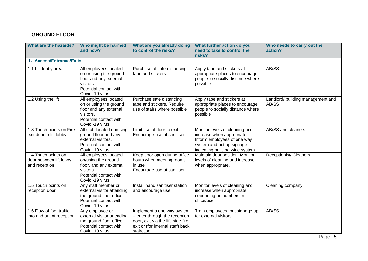## **GROUND FLOOR**

| What are the hazards?                                           | Who might be harmed<br>and how?                                                                                                     | What are you already doing<br>to control the risks?                                                                                                  | What further action do you<br>need to take to control the<br>risks?                                                                                        | Who needs to carry out the<br>action?      |
|-----------------------------------------------------------------|-------------------------------------------------------------------------------------------------------------------------------------|------------------------------------------------------------------------------------------------------------------------------------------------------|------------------------------------------------------------------------------------------------------------------------------------------------------------|--------------------------------------------|
| 1. Access/Entrance/Exits                                        |                                                                                                                                     |                                                                                                                                                      |                                                                                                                                                            |                                            |
| 1.1 Lift lobby area                                             | All employees located<br>on or using the ground<br>floor and any external<br>visitors.<br>Potential contact with<br>Covid -19 virus | Purchase of safe distancing<br>tape and stickers                                                                                                     | Apply tape and stickers at<br>appropriate places to encourage<br>people to socially distance where<br>possible                                             | AB/SS                                      |
| 1.2 Using the lift                                              | All employees located<br>on or using the ground<br>floor and any external<br>visitors.<br>Potential contact with<br>Covid -19 virus | Purchase safe distancing<br>tape and stickers. Require<br>use of stairs where possible                                                               | Apply tape and stickers at<br>appropriate places to encourage<br>people to socially distance where<br>possible                                             | Landlord/ building management and<br>AB/SS |
| 1.3 Touch points on Fire<br>exit door in lift lobby             | All staff located on/using<br>ground floor and any<br>external visitors.<br>Potential contact with<br>Covid -19 virus               | Limit use of door to exit.<br>Encourage use of sanitiser                                                                                             | Monitor levels of cleaning and<br>increase when appropriate<br>Inform employees of one way<br>system and put up signage<br>indicating building wide system | AB/SS and cleaners                         |
| 1.4 Touch points on<br>door between lift lobby<br>and reception | All employees located<br>on/using the ground<br>floor, and any external<br>visitors.<br>Potential contact with<br>Covid -19 virus   | Keep door open during office<br>hours when meeting rooms<br>in use<br>Encourage use of sanitiser                                                     | Maintain door position. Monitor<br>levels of cleaning and increase<br>when appropriate.                                                                    | Receptionist/ Cleaners                     |
| 1.5 Touch points on<br>reception door                           | Any staff member or<br>external visitor attending<br>the ground floor office.<br>Potential contact with<br>Covid -19 virus          | Install hand sanitiser station<br>and encourage use                                                                                                  | Monitor levels of cleaning and<br>increase when appropriate<br>depending on numbers in<br>office/use.                                                      | Cleaning company                           |
| 1.6 Flow of foot traffic<br>into and out of reception           | Any employee or<br>external visitor attending<br>the ground floor office.<br>Potential contact with<br>Covid -19 virus              | Implement a one way system<br>- enter through the reception<br>door, exit via the lift, side fire<br>exit or (for internal staff) back<br>staircase. | Train employees, put signage up<br>for external visitors                                                                                                   | AB/SS                                      |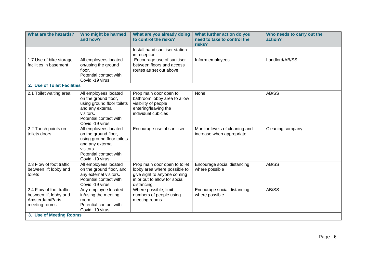| What are the hazards?                                                                                             | Who might be harmed<br>and how?                                                                                                                           | What are you already doing<br>to control the risks?                                                                                         | What further action do you<br>need to take to control the<br>risks? | Who needs to carry out the<br>action? |
|-------------------------------------------------------------------------------------------------------------------|-----------------------------------------------------------------------------------------------------------------------------------------------------------|---------------------------------------------------------------------------------------------------------------------------------------------|---------------------------------------------------------------------|---------------------------------------|
|                                                                                                                   |                                                                                                                                                           | Install hand sanitiser station<br>in reception                                                                                              |                                                                     |                                       |
| 1.7 Use of bike storage<br>facilities in basement                                                                 | All employees located<br>on/using the ground<br>floor.<br>Potential contact with<br>Covid -19 virus                                                       | Encourage use of sanitiser<br>between floors and access<br>routes as set out above                                                          | Inform employees                                                    | Landlord/AB/SS                        |
| 2. Use of Toilet Facilities                                                                                       |                                                                                                                                                           |                                                                                                                                             |                                                                     |                                       |
| 2.1 Toilet waiting area                                                                                           | All employees located<br>on the ground floor,<br>using ground floor toilets<br>and any external<br>visitors.<br>Potential contact with<br>Covid -19 virus | Prop main door open to<br>bathroom lobby area to allow<br>visibility of people<br>entering/leaving the<br>individual cubicles               | None                                                                | AB/SS                                 |
| 2.2 Touch points on<br>toilets doors                                                                              | All employees located<br>on the ground floor,<br>using ground floor toilets<br>and any external<br>visitors.<br>Potential contact with<br>Covid -19 virus | Encourage use of sanitiser.                                                                                                                 | Monitor levels of cleaning and<br>increase when appropriate         | Cleaning company                      |
| 2.3 Flow of foot traffic<br>between lift lobby and<br>toilets                                                     | All employees located<br>on the ground floor, and<br>any external visitors.<br>Potential contact with<br>Covid -19 virus                                  | Prop main door open to toilet<br>lobby area where possible to<br>give sight to anyone coming<br>in or out to allow for social<br>distancing | Encourage social distancing<br>where possible                       | AB/SS                                 |
| 2.4 Flow of foot traffic<br>between lift lobby and<br>Amsterdam/Paris<br>meeting rooms<br>3. Use of Meeting Rooms | Any employee located<br>in/using the meeting<br>room.<br>Potential contact with<br>Covid -19 virus                                                        | Where possible, limit<br>numbers of people using<br>meeting rooms                                                                           | Encourage social distancing<br>where possible                       | AB/SS                                 |
|                                                                                                                   |                                                                                                                                                           |                                                                                                                                             |                                                                     |                                       |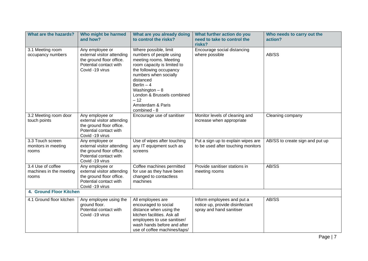| What are the hazards?                                 | Who might be harmed<br>and how?                                                                                        | What are you already doing<br>to control the risks?                                                                                                                                                                                                                                      | What further action do you<br>need to take to control the<br>risks?                       | Who needs to carry out the<br>action? |  |
|-------------------------------------------------------|------------------------------------------------------------------------------------------------------------------------|------------------------------------------------------------------------------------------------------------------------------------------------------------------------------------------------------------------------------------------------------------------------------------------|-------------------------------------------------------------------------------------------|---------------------------------------|--|
| 3.1 Meeting room<br>occupancy numbers                 | Any employee or<br>external visitor attending<br>the ground floor office.<br>Potential contact with<br>Covid -19 virus | Where possible, limit<br>numbers of people using<br>meeting rooms. Meeting<br>room capacity is limited to<br>the following occupancy<br>numbers when socially<br>distanced<br>Berlin $-4$<br>Washington $-8$<br>London & Brussels combined<br>$-12$<br>Amsterdam & Paris<br>combined - 8 | Encourage social distancing<br>where possible                                             | AB/SS                                 |  |
| 3.2 Meeting room door<br>touch points                 | Any employee or<br>external visitor attending<br>the ground floor office.<br>Potential contact with<br>Covid -19 virus | Encourage use of sanitiser                                                                                                                                                                                                                                                               | Monitor levels of cleaning and<br>increase when appropriate                               | Cleaning company                      |  |
| 3.3 Touch screen<br>monitors in meeting<br>rooms      | Any employee or<br>external visitor attending<br>the ground floor office.<br>Potential contact with<br>Covid -19 virus | Use of wipes after touching<br>any IT equipment such as<br>screens                                                                                                                                                                                                                       | Put a sign up to explain wipes are<br>to be used after touching monitors                  | AB/SS to create sign and put up       |  |
| 3.4 Use of coffee<br>machines in the meeting<br>rooms | Any employee or<br>external visitor attending<br>the ground floor office.<br>Potential contact with<br>Covid -19 virus | Coffee machines permitted<br>for use as they have been<br>changed to contactless<br>machines                                                                                                                                                                                             | Provide sanitiser stations in<br>meeting rooms                                            | AB/SS                                 |  |
| 4. Ground Floor Kitchen                               |                                                                                                                        |                                                                                                                                                                                                                                                                                          |                                                                                           |                                       |  |
| 4.1 Ground floor kitchen                              | Any employee using the<br>ground floor.<br>Potential contact with<br>Covid -19 virus                                   | All employees are<br>encouraged to social<br>distance when using the<br>kitchen facilities. Ask all<br>employees to use sanitiser/<br>wash hands before and after<br>use of coffee machines/taps/                                                                                        | Inform employees and put a<br>notice up, provide disinfectant<br>spray and hand sanitiser | AB/SS                                 |  |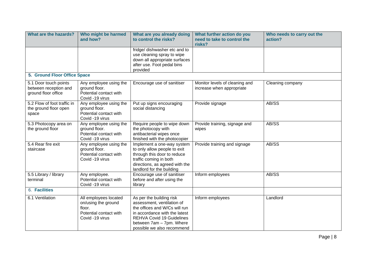| What are the hazards?                                                 | Who might be harmed<br>and how?                                                                     | What are you already doing<br>to control the risks?                                                                                                                                                                    | What further action do you<br>need to take to control the<br>risks? | Who needs to carry out the<br>action? |
|-----------------------------------------------------------------------|-----------------------------------------------------------------------------------------------------|------------------------------------------------------------------------------------------------------------------------------------------------------------------------------------------------------------------------|---------------------------------------------------------------------|---------------------------------------|
|                                                                       |                                                                                                     | fridge/ dishwasher etc and to<br>use cleaning spray to wipe<br>down all appropriate surfaces<br>after use. Foot pedal bins<br>provided                                                                                 |                                                                     |                                       |
| 5. Ground Floor Office Space                                          |                                                                                                     |                                                                                                                                                                                                                        |                                                                     |                                       |
| 5.1 Door touch points<br>between reception and<br>ground floor office | Any employee using the<br>ground floor.<br>Potential contact with<br>Covid -19 virus                | Encourage use of sanitiser                                                                                                                                                                                             | Monitor levels of cleaning and<br>increase when appropriate         | Cleaning company                      |
| 5.2 Flow of foot traffic in<br>the ground floor open<br>space         | Any employee using the<br>ground floor.<br>Potential contact with<br>Covid -19 virus                | Put up signs encouraging<br>social distancing                                                                                                                                                                          | Provide signage                                                     | AB/SS                                 |
| 5.3 Photocopy area on<br>the ground floor                             | Any employee using the<br>ground floor.<br>Potential contact with<br>Covid -19 virus                | Require people to wipe down<br>the photocopy with<br>antibacterial wipes once<br>finished with the photocopier                                                                                                         | Provide training, signage and<br>wipes                              | AB/SS                                 |
| 5.4 Rear fire exit<br>staircase                                       | Any employee using the<br>ground floor.<br>Potential contact with<br>Covid -19 virus                | Implement a one-way system<br>to only allow people to exit<br>through this door to reduce<br>traffic coming in both<br>directions, as agreed with the<br>landlord for the building                                     | Provide training and signage                                        | AB/SS                                 |
| 5.5 Library / library<br>terminal                                     | Any employee.<br>Potential contact with<br>Covid -19 virus                                          | Encourage use of sanitiser<br>before and after using the<br>library                                                                                                                                                    | Inform employees                                                    | AB/SS                                 |
| 6. Facilities                                                         |                                                                                                     |                                                                                                                                                                                                                        |                                                                     |                                       |
| 6.1 Ventilation                                                       | All employees located<br>on/using the ground<br>floor.<br>Potential contact with<br>Covid -19 virus | As per the building risk<br>assessment, ventilation of<br>the offices and W/Cs will run<br>in accordance with the latest<br><b>REHVA Covid 19 Guidelines</b><br>between 7am - 7pm. Where<br>possible we also recommend | Inform employees                                                    | Landlord                              |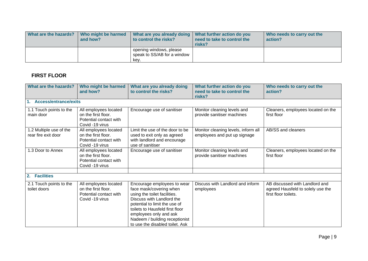| What are the hazards? | Who might be harmed<br>and how? | What are you already doing<br>to control the risks?            | What further action do you<br>need to take to control the<br>risks? | Who needs to carry out the<br>action? |
|-----------------------|---------------------------------|----------------------------------------------------------------|---------------------------------------------------------------------|---------------------------------------|
|                       |                                 | opening windows, please<br>speak to SS/AB for a window<br>key. |                                                                     |                                       |

# **FIRST FLOOR**

| What are the hazards?                          | Who might be harmed<br>and how?                                                           | What are you already doing<br>to control the risks?                                                                                                                                                                                                                                    | What further action do you<br>need to take to control the<br>risks? | Who needs to carry out the<br>action?                                                       |
|------------------------------------------------|-------------------------------------------------------------------------------------------|----------------------------------------------------------------------------------------------------------------------------------------------------------------------------------------------------------------------------------------------------------------------------------------|---------------------------------------------------------------------|---------------------------------------------------------------------------------------------|
| <b>Access/entrance/exits</b>                   |                                                                                           |                                                                                                                                                                                                                                                                                        |                                                                     |                                                                                             |
| 1.1 Touch points to the<br>main door           | All employees located<br>on the first floor.<br>Potential contact with<br>Covid -19 virus | Encourage use of sanitiser                                                                                                                                                                                                                                                             | Monitor cleaning levels and<br>provide sanitiser machines           | Cleaners, employees located on the<br>first floor                                           |
| 1.2 Multiple use of the<br>rear fire exit door | All employees located<br>on the first floor.<br>Potential contact with<br>Covid -19 virus | Limit the use of the door to be<br>used to exit only as agreed<br>with landlord and encourage<br>use of sanitiser                                                                                                                                                                      | Monitor cleaning levels, inform all<br>employees and put up signage | AB/SS and cleaners                                                                          |
| 1.3 Door to Annex                              | All employees located<br>on the first floor.<br>Potential contact with<br>Covid -19 virus | Encourage use of sanitiser                                                                                                                                                                                                                                                             | Monitor cleaning levels and<br>provide sanitiser machines           | Cleaners, employees located on the<br>first floor                                           |
| 2. Facilities                                  |                                                                                           |                                                                                                                                                                                                                                                                                        |                                                                     |                                                                                             |
|                                                |                                                                                           |                                                                                                                                                                                                                                                                                        |                                                                     |                                                                                             |
| 2.1 Touch points to the<br>toilet doors        | All employees located<br>on the first floor.<br>Potential contact with<br>Covid -19 virus | Encourage employees to wear<br>face mask/covering when<br>using the toilet facilities.<br>Discuss with Landlord the<br>potential to limit the use of<br>toilets to Hausfeld first floor<br>employees only and ask<br>Nadeem / building receptionist<br>to use the disabled toilet. Ask | Discuss with Landlord and inform<br>employees                       | AB discussed with Landlord and<br>agreed Hausfeld to solely use the<br>first floor toilets. |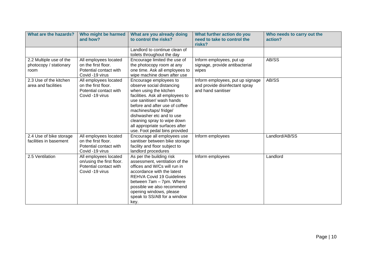| What are the hazards?                                     | Who might be harmed<br>and how?                                                                 | What are you already doing<br>to control the risks?                                                                                                                                                                                                                                                                                       | What further action do you<br>need to take to control the<br>risks?                      | Who needs to carry out the<br>action? |
|-----------------------------------------------------------|-------------------------------------------------------------------------------------------------|-------------------------------------------------------------------------------------------------------------------------------------------------------------------------------------------------------------------------------------------------------------------------------------------------------------------------------------------|------------------------------------------------------------------------------------------|---------------------------------------|
|                                                           |                                                                                                 | Landlord to continue clean of<br>toilets throughout the day                                                                                                                                                                                                                                                                               |                                                                                          |                                       |
| 2.2 Multiple use of the<br>photocopy / stationary<br>room | All employees located<br>on the first floor.<br>Potential contact with<br>Covid -19 virus       | Encourage limited the use of<br>the photocopy room at any<br>one time. Ask all employees to<br>wipe machine down after use                                                                                                                                                                                                                | Inform employees, put up<br>signage, provide antibacterial<br>wipes                      | AB/SS                                 |
| 2.3 Use of the kitchen<br>area and facilities             | All employees located<br>on the first floor.<br>Potential contact with<br>Covid -19 virus       | Encourage employees to<br>observe social distancing<br>when using the kitchen<br>facilities. Ask all employees to<br>use sanitiser/ wash hands<br>before and after use of coffee<br>machines/taps/ fridge/<br>dishwasher etc and to use<br>cleaning spray to wipe down<br>all appropriate surfaces after<br>use. Foot pedal bins provided | Inform employees, put up signage<br>and provide disinfectant spray<br>and hand sanitiser | AB/SS                                 |
| 2.4 Use of bike storage<br>facilities in basement         | All employees located<br>on the first floor.<br>Potential contact with<br>Covid -19 virus       | Encourage all employees use<br>sanitiser between bike storage<br>facility and floor subject to<br>landlord procedures                                                                                                                                                                                                                     | Inform employees                                                                         | Landlord/AB/SS                        |
| 2.5 Ventilation                                           | All employees located<br>on/using the first floor.<br>Potential contact with<br>Covid -19 virus | As per the building risk<br>assessment, ventilation of the<br>offices and W/Cs will run in<br>accordance with the latest<br><b>REHVA Covid 19 Guidelines</b><br>between 7am - 7pm. Where<br>possible we also recommend<br>opening windows, please<br>speak to SS/AB for a window<br>key.                                                  | Inform employees                                                                         | Landlord                              |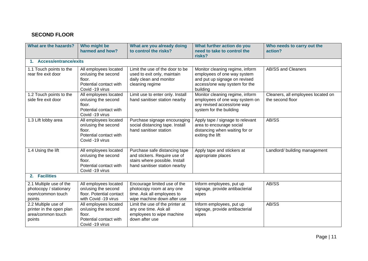## **SECOND FLOOR**

| What are the hazards?                                                            | Who might be<br>harmed and how?                                                                     | What are you already doing<br>to control the risks?                                                                              | What further action do you<br>need to take to control the<br>risks?                                                                          | Who needs to carry out the<br>action?                  |
|----------------------------------------------------------------------------------|-----------------------------------------------------------------------------------------------------|----------------------------------------------------------------------------------------------------------------------------------|----------------------------------------------------------------------------------------------------------------------------------------------|--------------------------------------------------------|
| <b>Access/entrance/exits</b><br>1.                                               |                                                                                                     |                                                                                                                                  |                                                                                                                                              |                                                        |
| 1.1 Touch points to the<br>rear fire exit door                                   | All employees located<br>on/using the second<br>floor.<br>Potential contact with<br>Covid -19 virus | Limit the use of the door to be<br>used to exit only, maintain<br>daily clean and monitor<br>cleaning regime                     | Monitor cleaning regime, inform<br>employees of one way system<br>and put up signage on revised<br>access/one way system for the<br>building | AB/SS and Cleaners                                     |
| 1.2 Touch points to the<br>side fire exit door                                   | All employees located<br>on/using the second<br>floor.<br>Potential contact with<br>Covid -19 virus | Limit use to enter only. Install<br>hand sanitiser station nearby                                                                | Monitor cleaning regime, inform<br>employees of one way system on<br>any revised access/one way<br>system for the building                   | Cleaners, all employees located on<br>the second floor |
| 1.3 Lift lobby area                                                              | All employees located<br>on/using the second<br>floor.<br>Potential contact with<br>Covid -19 virus | Purchase signage encouraging<br>social distancing tape. Install<br>hand sanitiser station                                        | Apply tape / signage to relevant<br>area to encourage social<br>distancing when waiting for or<br>exiting the lift                           | AB/SS                                                  |
| 1.4 Using the lift                                                               | All employees located<br>on/using the second<br>floor.<br>Potential contact with<br>Covid -19 virus | Purchase safe distancing tape<br>and stickers. Require use of<br>stairs where possible. Install<br>hand sanitiser station nearby | Apply tape and stickers at<br>appropriate places                                                                                             | Landlord/ building management                          |
| 2. Facilities                                                                    |                                                                                                     |                                                                                                                                  |                                                                                                                                              |                                                        |
| 2.1 Multiple use of the<br>photocopy / stationary<br>room/common touch<br>points | All employees located<br>on/using the second<br>floor. Potential contact<br>with Covid -19 virus    | Encourage limited use of the<br>photocopy room at any one<br>time. Ask all employees to<br>wipe machine down after use           | Inform employees, put up<br>signage, provide antibacterial<br>wipes                                                                          | AB/SS                                                  |
| 2.2 Multiple use of<br>printer in the open plan<br>area/common touch<br>points   | All employees located<br>on/using the second<br>floor.<br>Potential contact with<br>Covid -19 virus | Limit the use of the printer at<br>any one time. Ask all<br>employees to wipe machine<br>down after use                          | Inform employees, put up<br>signage, provide antibacterial<br>wipes                                                                          | AB/SS                                                  |